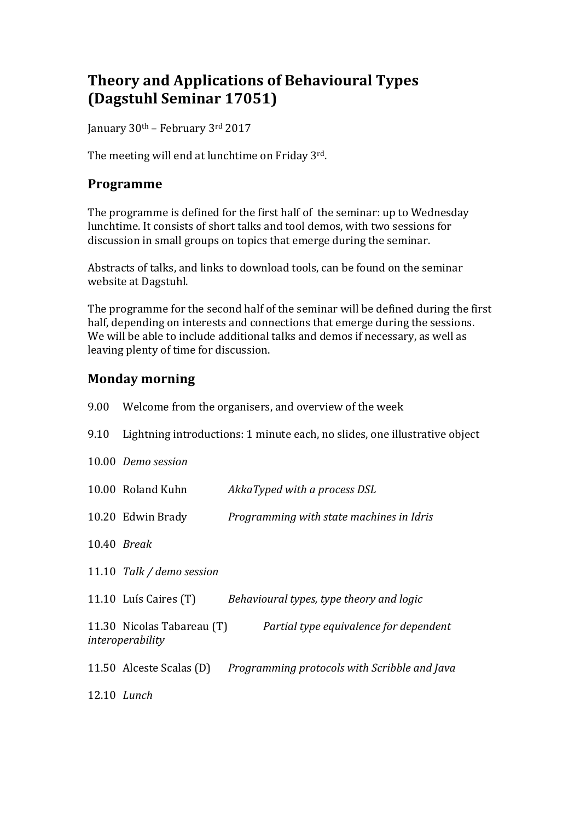## **Theory and Applications of Behavioural Types (Dagstuhl Seminar 17051)**

January 30<sup>th</sup> – February 3<sup>rd</sup> 2017

The meeting will end at lunchtime on Friday  $3^{rd}$ .

#### **Programme**

The programme is defined for the first half of the seminar: up to Wednesday lunchtime. It consists of short talks and tool demos, with two sessions for discussion in small groups on topics that emerge during the seminar.

Abstracts of talks, and links to download tools, can be found on the seminar website at Dagstuhl.

The programme for the second half of the seminar will be defined during the first half, depending on interests and connections that emerge during the sessions. We will be able to include additional talks and demos if necessary, as well as leaving plenty of time for discussion.

#### **Monday morning**

|      | 9.00 Welcome from the organisers, and overview of the week                 |                                                                       |  |  |
|------|----------------------------------------------------------------------------|-----------------------------------------------------------------------|--|--|
| 9.10 | Lightning introductions: 1 minute each, no slides, one illustrative object |                                                                       |  |  |
|      | 10.00 Demo session                                                         |                                                                       |  |  |
|      | 10.00 Roland Kuhn                                                          | AkkaTyped with a process DSL                                          |  |  |
|      | 10.20 Edwin Brady                                                          | Programming with state machines in Idris                              |  |  |
|      | 10.40 <i>Break</i>                                                         |                                                                       |  |  |
|      | 11.10 Talk / demo session                                                  |                                                                       |  |  |
|      | 11.10 Luís Caires (T)                                                      | Behavioural types, type theory and logic                              |  |  |
|      | interoperability                                                           | 11.30 Nicolas Tabareau (T) Partial type equivalence for dependent     |  |  |
|      |                                                                            | 11.50 Alceste Scalas (D) Programming protocols with Scribble and Java |  |  |
|      | 12.10 Lunch                                                                |                                                                       |  |  |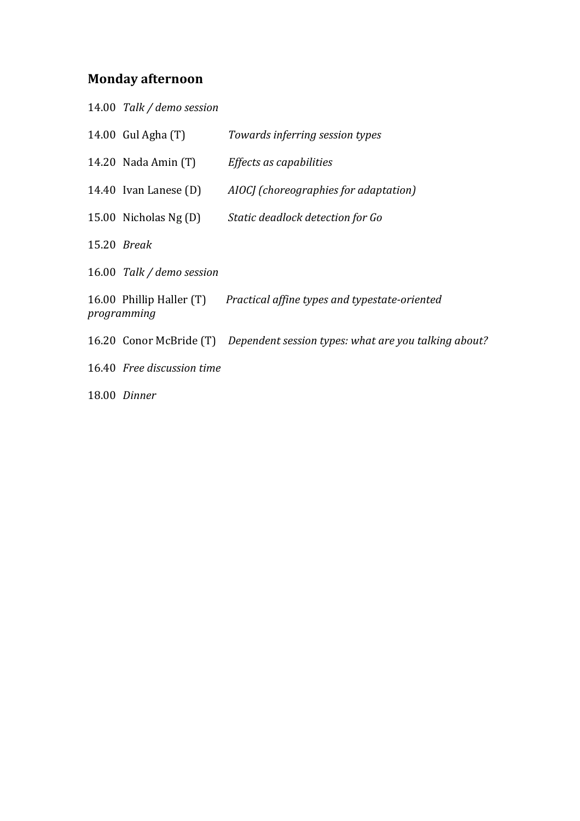## **Monday afternoon**

| 14.00 Talk / demo session  |                                                                              |
|----------------------------|------------------------------------------------------------------------------|
| 14.00 Gul Agha (T)         | Towards inferring session types                                              |
| 14.20 Nada Amin (T)        | Effects as capabilities                                                      |
| 14.40 Ivan Lanese (D)      | AIOCJ (choreographies for adaptation)                                        |
| 15.00 Nicholas Ng (D)      | Static deadlock detection for Go                                             |
| 15.20 Break                |                                                                              |
| 16.00 Talk / demo session  |                                                                              |
| programming                | 16.00 Phillip Haller (T) Practical affine types and typestate-oriented       |
|                            | 16.20 Conor McBride (T) Dependent session types: what are you talking about? |
| 16.40 Free discussion time |                                                                              |
| 18.00 Dinner               |                                                                              |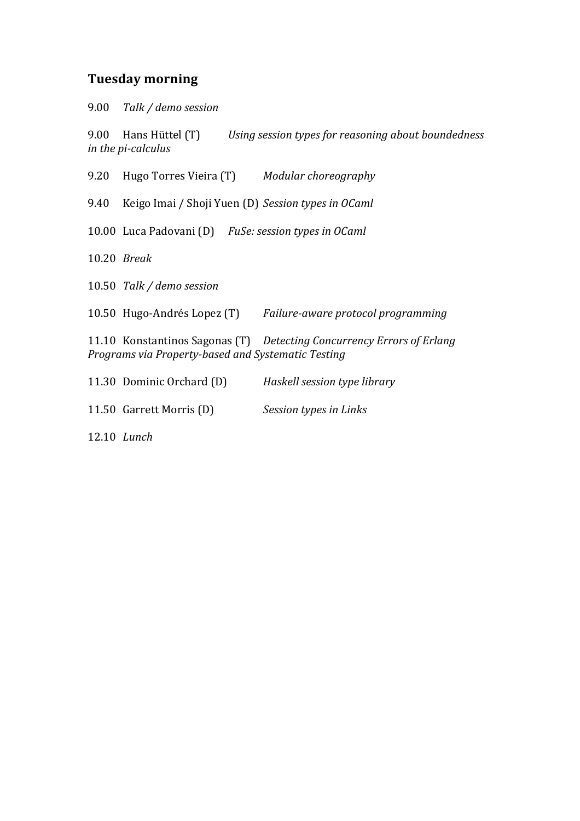#### **Tuesday morning**

9.00 *Talk / demo session*

9.00 Hans Hüttel (T) Using session types for reasoning about boundedness *in the pi-calculus* 

9.20 Hugo Torres Vieira (T) Modular choreography

9.40 Keigo Imai / Shoji Yuen (D) *Session types in OCaml* 

10.00 Luca Padovani (D) FuSe: session types in OCaml

10.20 *Break*

10.50 *Talk / demo session*

10.50 Hugo-Andrés Lopez (T) Failure-aware protocol programming

11.10 Konstantinos Sagonas (T) *Detecting Concurrency Errors of Erlang Programs via Property-based and Systematic Testing*

| 11.30 Dominic Orchard (D) | Haskell session type library |  |
|---------------------------|------------------------------|--|
|                           |                              |  |

11.50 Garrett Morris (D) Session types in Links

12.10 *Lunch*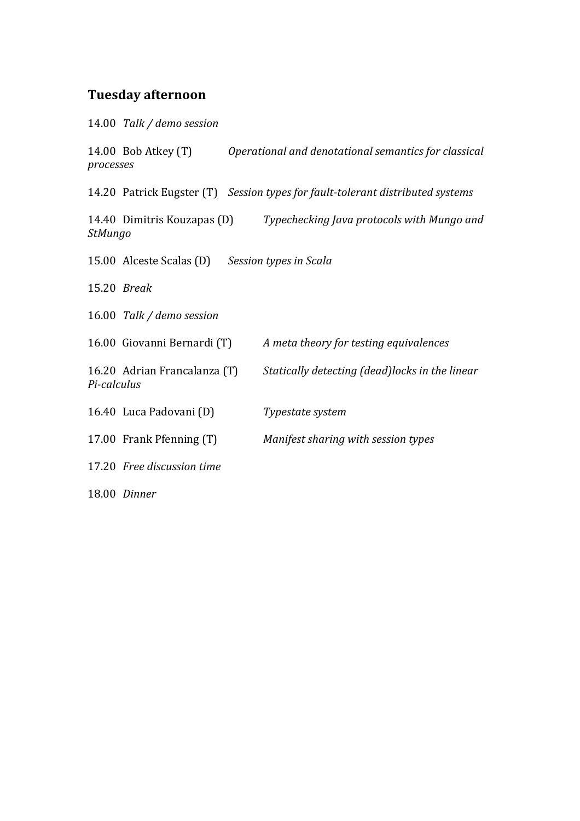# **Tuesday afternoon**

14.00 *Talk / demo session*

| processes   | 14.00 Bob Atkey (T)                             | Operational and denotational semantics for classical                           |
|-------------|-------------------------------------------------|--------------------------------------------------------------------------------|
|             |                                                 | 14.20 Patrick Eugster (T) Session types for fault-tolerant distributed systems |
| StMungo     | 14.40 Dimitris Kouzapas (D)                     | Typechecking Java protocols with Mungo and                                     |
|             | 15.00 Alceste Scalas (D) Session types in Scala |                                                                                |
|             | 15.20 <i>Break</i>                              |                                                                                |
|             | 16.00 Talk / demo session                       |                                                                                |
|             | 16.00 Giovanni Bernardi (T)                     | A meta theory for testing equivalences                                         |
| Pi-calculus | 16.20 Adrian Francalanza (T)                    | Statically detecting (dead) locks in the linear                                |
|             | 16.40 Luca Padovani (D)                         | Typestate system                                                               |
|             | 17.00 Frank Pfenning (T)                        | Manifest sharing with session types                                            |
|             | 17.20 Free discussion time                      |                                                                                |
|             | 18.00 Dinner                                    |                                                                                |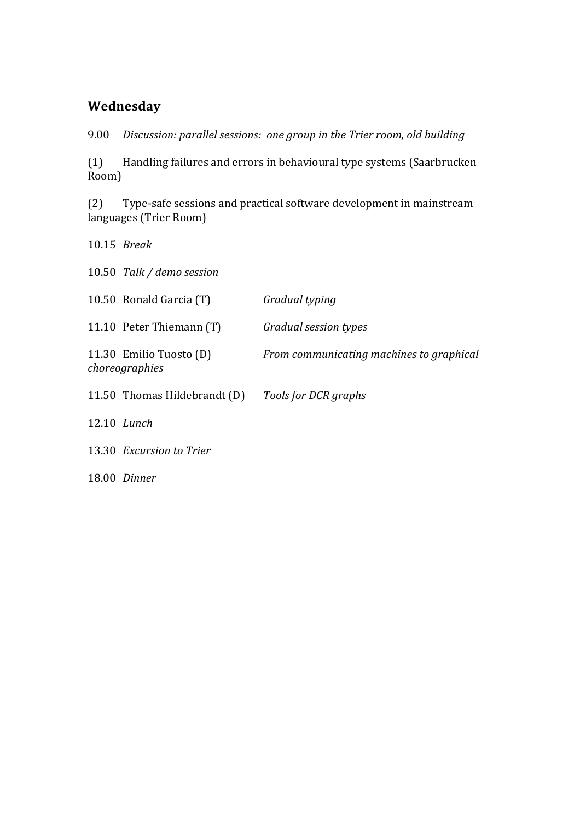### **Wednesday**

9.00 *Discussion: parallel sessions: one group in the Trier room, old building* 

(1) Handling failures and errors in behavioural type systems (Saarbrucken Room)

(2) Type-safe sessions and practical software development in mainstream languages (Trier Room)

| $10.15$ Break                             |                                          |
|-------------------------------------------|------------------------------------------|
| 10.50 Talk / demo session                 |                                          |
| 10.50 Ronald Garcia (T)                   | Gradual typing                           |
| 11.10 Peter Thiemann (T)                  | Gradual session types                    |
| 11.30 Emilio Tuosto (D)<br>choreographies | From communicating machines to graphical |
| 11.50 Thomas Hildebrandt (D)              | Tools for DCR graphs                     |
| 12.10 Lunch                               |                                          |
| 13.30 Excursion to Trier                  |                                          |
| 18.00 Dinner                              |                                          |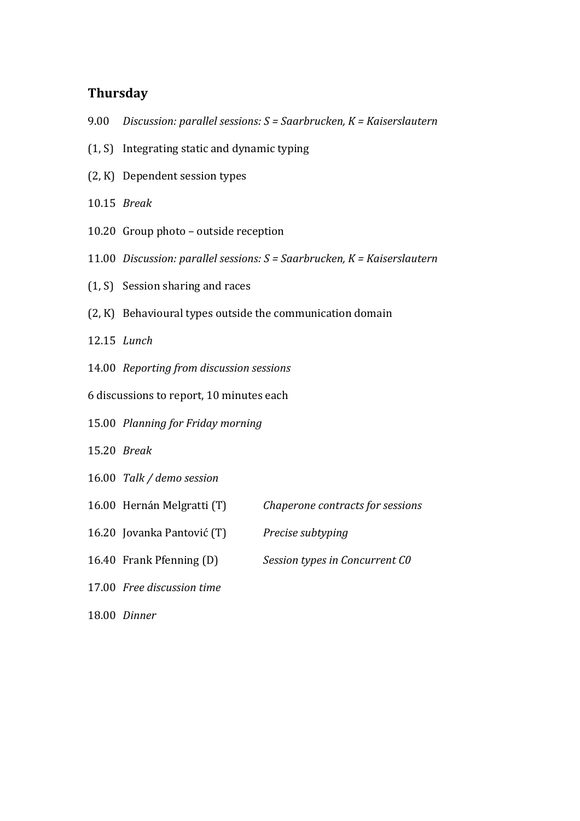#### **Thursday**

- 9.00 *Discussion: parallel sessions: S = Saarbrucken, K = Kaiserslautern*
- $(1, S)$  Integrating static and dynamic typing
- $(2, K)$  Dependent session types
- 10.15 *Break*
- 10.20 Group photo  $-$  outside reception
- 11.00 *Discussion: parallel sessions: S = Saarbrucken, K = Kaiserslautern*
- $(1, S)$  Session sharing and races
- $(2, K)$  Behavioural types outside the communication domain
- 12.15 *Lunch*
- 14.00 *Reporting from discussion sessions*
- 6 discussions to report, 10 minutes each
- 15.00 *Planning for Friday morning*
- 15.20 *Break*
- 16.00 *Talk* / demo session
- 16.00 Hernán Melgratti (T) Chaperone contracts for sessions
- 16.20 Jovanka Pantović (T) *Precise subtyping*
- 16.40 Frank Pfenning (D) *Session types in Concurrent C0*
- 17.00 *Free discussion time*
- 18.00 *Dinner*